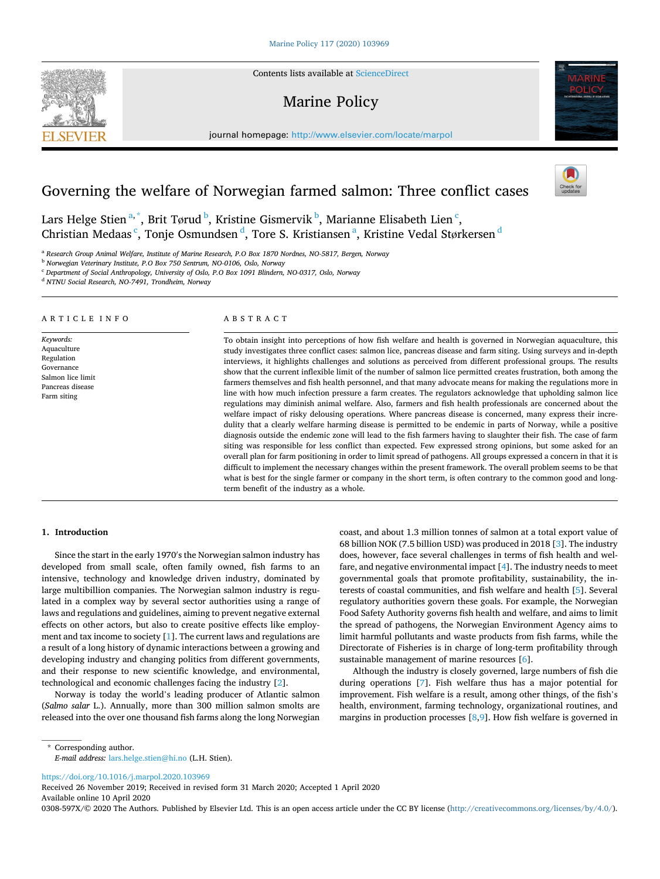Contents lists available at [ScienceDirect](www.sciencedirect.com/science/journal/0308597X)

# Marine Policy

journal homepage: [http://www.elsevier.com/locate/marpol](https://http://www.elsevier.com/locate/marpol) 

# Governing the welfare of Norwegian farmed salmon: Three conflict cases

Lars Helge Stien<sup>a,\*</sup>, Brit Tørud <sup>b</sup>, Kristine Gismervik <sup>b</sup>, Marianne Elisabeth Lien <sup>c</sup>, Christian Medaas <sup>c</sup>, Tonje Osmundsen <sup>d</sup>, Tore S. Kristiansen <sup>a</sup>, Kristine Vedal Størkersen <sup>d</sup>

<sup>a</sup> *Research Group Animal Welfare, Institute of Marine Research, P.O Box 1870 Nordnes, NO-5817, Bergen, Norway* 

<sup>b</sup> *Norwegian Veterinary Institute, P.O Box 750 Sentrum, NO-0106, Oslo, Norway* 

<sup>c</sup> *Department of Social Anthropology, University of Oslo, P.O Box 1091 Blindern, NO-0317, Oslo, Norway* 

<sup>d</sup> *NTNU Social Research, NO-7491, Trondheim, Norway* 

# ARTICLE INFO

*Keywords:*  Aquaculture Regulation Governance Salmon lice limit Pancreas disease Farm siting

## ABSTRACT

To obtain insight into perceptions of how fish welfare and health is governed in Norwegian aquaculture, this study investigates three conflict cases: salmon lice, pancreas disease and farm siting. Using surveys and in-depth interviews, it highlights challenges and solutions as perceived from different professional groups. The results show that the current inflexible limit of the number of salmon lice permitted creates frustration, both among the farmers themselves and fish health personnel, and that many advocate means for making the regulations more in line with how much infection pressure a farm creates. The regulators acknowledge that upholding salmon lice regulations may diminish animal welfare. Also, farmers and fish health professionals are concerned about the welfare impact of risky delousing operations. Where pancreas disease is concerned, many express their incredulity that a clearly welfare harming disease is permitted to be endemic in parts of Norway, while a positive diagnosis outside the endemic zone will lead to the fish farmers having to slaughter their fish. The case of farm siting was responsible for less conflict than expected. Few expressed strong opinions, but some asked for an overall plan for farm positioning in order to limit spread of pathogens. All groups expressed a concern in that it is difficult to implement the necessary changes within the present framework. The overall problem seems to be that what is best for the single farmer or company in the short term, is often contrary to the common good and longterm benefit of the industry as a whole.

#### **1. Introduction**

Since the start in the early 1970's the Norwegian salmon industry has developed from small scale, often family owned, fish farms to an intensive, technology and knowledge driven industry, dominated by large multibillion companies. The Norwegian salmon industry is regulated in a complex way by several sector authorities using a range of laws and regulations and guidelines, aiming to prevent negative external effects on other actors, but also to create positive effects like employment and tax income to society [\[1\]](#page-8-0). The current laws and regulations are a result of a long history of dynamic interactions between a growing and developing industry and changing politics from different governments, and their response to new scientific knowledge, and environmental, technological and economic challenges facing the industry [\[2\]](#page-8-0).

Norway is today the world's leading producer of Atlantic salmon (*Salmo salar* L.). Annually, more than 300 million salmon smolts are released into the over one thousand fish farms along the long Norwegian

coast, and about 1.3 million tonnes of salmon at a total export value of 68 billion NOK (7.5 billion USD) was produced in 2018 [[3](#page-8-0)]. The industry does, however, face several challenges in terms of fish health and welfare, and negative environmental impact [[4](#page-8-0)]. The industry needs to meet governmental goals that promote profitability, sustainability, the interests of coastal communities, and fish welfare and health [[5](#page-8-0)]. Several regulatory authorities govern these goals. For example, the Norwegian Food Safety Authority governs fish health and welfare, and aims to limit the spread of pathogens, the Norwegian Environment Agency aims to limit harmful pollutants and waste products from fish farms, while the Directorate of Fisheries is in charge of long-term profitability through sustainable management of marine resources [\[6\]](#page-9-0).

Although the industry is closely governed, large numbers of fish die during operations [\[7](#page-9-0)]. Fish welfare thus has a major potential for improvement. Fish welfare is a result, among other things, of the fish's health, environment, farming technology, organizational routines, and margins in production processes [\[8,9](#page-9-0)]. How fish welfare is governed in

<https://doi.org/10.1016/j.marpol.2020.103969>

Available online 10 April 2020 Received 26 November 2019; Received in revised form 31 March 2020; Accepted 1 April 2020

0308-597X/© 2020 The Authors. Published by Elsevier Ltd. This is an open access article under the CC BY license [\(http://creativecommons.org/licenses/by/4.0/\)](http://creativecommons.org/licenses/by/4.0/).





<sup>\*</sup> Corresponding author. *E-mail address:* [lars.helge.stien@hi.no](mailto:lars.helge.stien@hi.no) (L.H. Stien).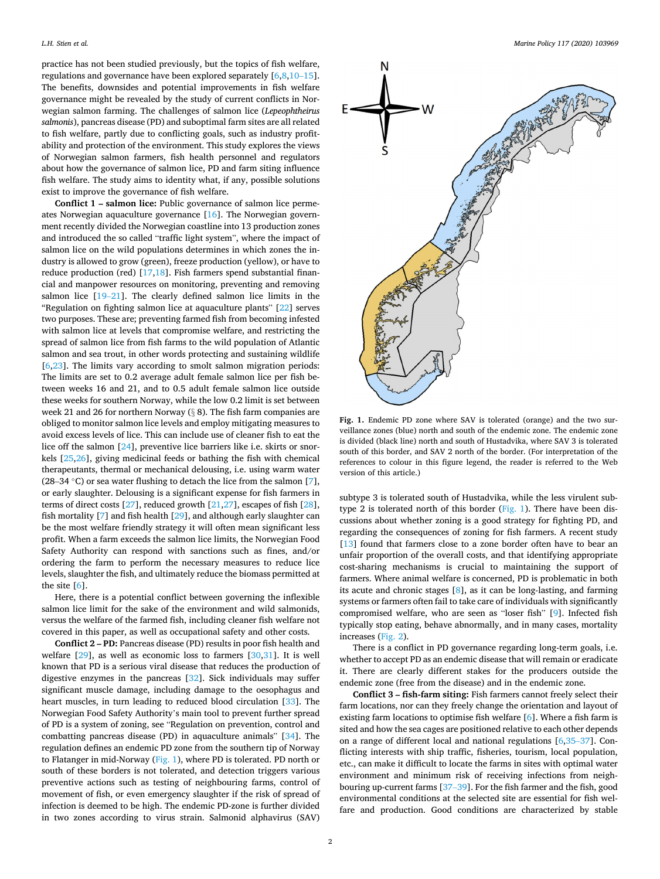practice has not been studied previously, but the topics of fish welfare, regulations and governance have been explored separately  $[6,8,10-15]$  $[6,8,10-15]$  $[6,8,10-15]$ . The benefits, downsides and potential improvements in fish welfare governance might be revealed by the study of current conflicts in Norwegian salmon farming. The challenges of salmon lice (*Lepeophtheirus salmonis*), pancreas disease (PD) and suboptimal farm sites are all related to fish welfare, partly due to conflicting goals, such as industry profitability and protection of the environment. This study explores the views of Norwegian salmon farmers, fish health personnel and regulators about how the governance of salmon lice, PD and farm siting influence fish welfare. The study aims to identity what, if any, possible solutions exist to improve the governance of fish welfare.

**Conflict 1 – salmon lice:** Public governance of salmon lice permeates Norwegian aquaculture governance [[16\]](#page-9-0). The Norwegian government recently divided the Norwegian coastline into 13 production zones and introduced the so called "traffic light system", where the impact of salmon lice on the wild populations determines in which zones the industry is allowed to grow (green), freeze production (yellow), or have to reduce production (red) [[17,18](#page-9-0)]. Fish farmers spend substantial financial and manpower resources on monitoring, preventing and removing salmon lice  $[19-21]$  $[19-21]$ . The clearly defined salmon lice limits in the "Regulation on fighting salmon lice at aquaculture plants" [\[22](#page-9-0)] serves two purposes. These are; preventing farmed fish from becoming infested with salmon lice at levels that compromise welfare, and restricting the spread of salmon lice from fish farms to the wild population of Atlantic salmon and sea trout, in other words protecting and sustaining wildlife [[6](#page-9-0),[23\]](#page-9-0). The limits vary according to smolt salmon migration periods: The limits are set to 0.2 average adult female salmon lice per fish between weeks 16 and 21, and to 0.5 adult female salmon lice outside these weeks for southern Norway, while the low 0.2 limit is set between week 21 and 26 for northern Norway  $(\S 8)$ . The fish farm companies are obliged to monitor salmon lice levels and employ mitigating measures to avoid excess levels of lice. This can include use of cleaner fish to eat the lice off the salmon [\[24](#page-9-0)], preventive lice barriers like i.e. skirts or snorkels [\[25](#page-9-0),[26\]](#page-9-0), giving medicinal feeds or bathing the fish with chemical therapeutants, thermal or mechanical delousing, i.e. using warm water (28–34  $\degree$ C) or sea water flushing to detach the lice from the salmon [[7](#page-9-0)], or early slaughter. Delousing is a significant expense for fish farmers in terms of direct costs [\[27](#page-9-0)], reduced growth [[21,27\]](#page-9-0), escapes of fish [\[28](#page-9-0)], fish mortality [\[7\]](#page-9-0) and fish health [\[29](#page-9-0)], and although early slaughter can be the most welfare friendly strategy it will often mean significant less profit. When a farm exceeds the salmon lice limits, the Norwegian Food Safety Authority can respond with sanctions such as fines, and/or ordering the farm to perform the necessary measures to reduce lice levels, slaughter the fish, and ultimately reduce the biomass permitted at the site [\[6\]](#page-9-0).

Here, there is a potential conflict between governing the inflexible salmon lice limit for the sake of the environment and wild salmonids, versus the welfare of the farmed fish, including cleaner fish welfare not covered in this paper, as well as occupational safety and other costs.

**Conflict 2 – PD:** Pancreas disease (PD) results in poor fish health and welfare  $[29]$  $[29]$ , as well as economic loss to farmers  $[30,31]$  $[30,31]$ . It is well known that PD is a serious viral disease that reduces the production of digestive enzymes in the pancreas [\[32](#page-9-0)]. Sick individuals may suffer significant muscle damage, including damage to the oesophagus and heart muscles, in turn leading to reduced blood circulation [[33\]](#page-9-0). The Norwegian Food Safety Authority's main tool to prevent further spread of PD is a system of zoning, see "Regulation on prevention, control and combatting pancreas disease (PD) in aquaculture animals" [\[34](#page-9-0)]. The regulation defines an endemic PD zone from the southern tip of Norway to Flatanger in mid-Norway (Fig. 1), where PD is tolerated. PD north or south of these borders is not tolerated, and detection triggers various preventive actions such as testing of neighbouring farms, control of movement of fish, or even emergency slaughter if the risk of spread of infection is deemed to be high. The endemic PD-zone is further divided in two zones according to virus strain. Salmonid alphavirus (SAV)



**Fig. 1.** Endemic PD zone where SAV is tolerated (orange) and the two surveillance zones (blue) north and south of the endemic zone. The endemic zone is divided (black line) north and south of Hustadvika, where SAV 3 is tolerated south of this border, and SAV 2 north of the border. (For interpretation of the references to colour in this figure legend, the reader is referred to the Web version of this article.)

subtype 3 is tolerated south of Hustadvika, while the less virulent subtype 2 is tolerated north of this border (Fig. 1). There have been discussions about whether zoning is a good strategy for fighting PD, and regarding the consequences of zoning for fish farmers. A recent study [[13\]](#page-9-0) found that farmers close to a zone border often have to bear an unfair proportion of the overall costs, and that identifying appropriate cost-sharing mechanisms is crucial to maintaining the support of farmers. Where animal welfare is concerned, PD is problematic in both its acute and chronic stages [\[8\]](#page-9-0), as it can be long-lasting, and farming systems or farmers often fail to take care of individuals with significantly compromised welfare, who are seen as "loser fish" [\[9\]](#page-9-0). Infected fish typically stop eating, behave abnormally, and in many cases, mortality increases ([Fig. 2\)](#page-2-0).

There is a conflict in PD governance regarding long-term goals, i.e. whether to accept PD as an endemic disease that will remain or eradicate it. There are clearly different stakes for the producers outside the endemic zone (free from the disease) and in the endemic zone.

**Conflict 3 – fish-farm siting:** Fish farmers cannot freely select their farm locations, nor can they freely change the orientation and layout of existing farm locations to optimise fish welfare [[6](#page-9-0)]. Where a fish farm is sited and how the sea cages are positioned relative to each other depends on a range of different local and national regulations [\[6,](#page-9-0)35–[37\]](#page-9-0). Conflicting interests with ship traffic, fisheries, tourism, local population, etc., can make it difficult to locate the farms in sites with optimal water environment and minimum risk of receiving infections from neighbouring up-current farms [37–[39\]](#page-9-0). For the fish farmer and the fish, good environmental conditions at the selected site are essential for fish welfare and production. Good conditions are characterized by stable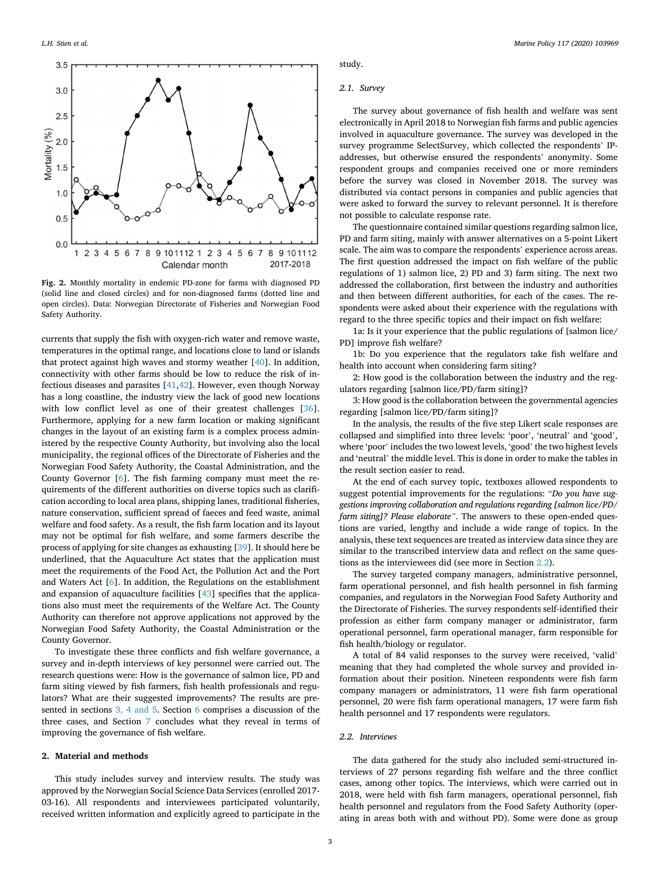<span id="page-2-0"></span>

**Fig. 2.** Monthly mortality in endemic PD-zone for farms with diagnosed PD (solid line and closed circles) and for non-diagnosed farms (dotted line and open circles). Data: Norwegian Directorate of Fisheries and Norwegian Food Safety Authority.

currents that supply the fish with oxygen-rich water and remove waste, temperatures in the optimal range, and locations close to land or islands that protect against high waves and stormy weather [[40\]](#page-9-0). In addition, connectivity with other farms should be low to reduce the risk of infectious diseases and parasites  $[41, 42]$  $[41, 42]$  $[41, 42]$  $[41, 42]$ . However, even though Norway has a long coastline, the industry view the lack of good new locations with low conflict level as one of their greatest challenges [\[36](#page-9-0)]. Furthermore, applying for a new farm location or making significant changes in the layout of an existing farm is a complex process administered by the respective County Authority, but involving also the local municipality, the regional offices of the Directorate of Fisheries and the Norwegian Food Safety Authority, the Coastal Administration, and the County Governor [\[6\]](#page-9-0). The fish farming company must meet the requirements of the different authorities on diverse topics such as clarification according to local area plans, shipping lanes, traditional fisheries, nature conservation, sufficient spread of faeces and feed waste, animal welfare and food safety. As a result, the fish farm location and its layout may not be optimal for fish welfare, and some farmers describe the process of applying for site changes as exhausting [\[39](#page-9-0)]. It should here be underlined, that the Aquaculture Act states that the application must meet the requirements of the Food Act, the Pollution Act and the Port and Waters Act [[6](#page-9-0)]. In addition, the Regulations on the establishment and expansion of aquaculture facilities [\[43](#page-9-0)] specifies that the applications also must meet the requirements of the Welfare Act. The County Authority can therefore not approve applications not approved by the Norwegian Food Safety Authority, the Coastal Administration or the County Governor.

To investigate these three conflicts and fish welfare governance, a survey and in-depth interviews of key personnel were carried out. The research questions were: How is the governance of salmon lice, PD and farm siting viewed by fish farmers, fish health professionals and regulators? What are their suggested improvements? The results are presented in sections [3, 4 and 5.](#page-3-0) Section [6](#page-6-0) comprises a discussion of the three cases, and Section [7](#page-8-0) concludes what they reveal in terms of improving the governance of fish welfare.

# **2. Material and methods**

This study includes survey and interview results. The study was approved by the Norwegian Social Science Data Services (enrolled 2017- 03-16). All respondents and interviewees participated voluntarily, received written information and explicitly agreed to participate in the

study.

## *2.1. Survey*

The survey about governance of fish health and welfare was sent electronically in April 2018 to Norwegian fish farms and public agencies involved in aquaculture governance. The survey was developed in the survey programme SelectSurvey, which collected the respondents' IPaddresses, but otherwise ensured the respondents' anonymity. Some respondent groups and companies received one or more reminders before the survey was closed in November 2018. The survey was distributed via contact persons in companies and public agencies that were asked to forward the survey to relevant personnel. It is therefore not possible to calculate response rate.

The questionnaire contained similar questions regarding salmon lice, PD and farm siting, mainly with answer alternatives on a 5-point Likert scale. The aim was to compare the respondents' experience across areas. The first question addressed the impact on fish welfare of the public regulations of 1) salmon lice, 2) PD and 3) farm siting. The next two addressed the collaboration, first between the industry and authorities and then between different authorities, for each of the cases. The respondents were asked about their experience with the regulations with regard to the three specific topics and their impact on fish welfare:

1a: Is it your experience that the public regulations of [salmon lice/ PD] improve fish welfare?

1b: Do you experience that the regulators take fish welfare and health into account when considering farm siting?

2: How good is the collaboration between the industry and the regulators regarding [salmon lice/PD/farm siting]?

3: How good is the collaboration between the governmental agencies regarding [salmon lice/PD/farm siting]?

In the analysis, the results of the five step Likert scale responses are collapsed and simplified into three levels: 'poor', 'neutral' and 'good', where 'poor' includes the two lowest levels, 'good' the two highest levels and 'neutral' the middle level. This is done in order to make the tables in the result section easier to read.

At the end of each survey topic, textboxes allowed respondents to suggest potential improvements for the regulations: "*Do you have suggestions improving collaboration and regulations regarding [salmon lice/PD/ farm siting]? Please elaborate"*. The answers to these open-ended questions are varied, lengthy and include a wide range of topics. In the analysis, these text sequences are treated as interview data since they are similar to the transcribed interview data and reflect on the same questions as the interviewees did (see more in Section 2.2).

The survey targeted company managers, administrative personnel, farm operational personnel, and fish health personnel in fish farming companies, and regulators in the Norwegian Food Safety Authority and the Directorate of Fisheries. The survey respondents self-identified their profession as either farm company manager or administrator, farm operational personnel, farm operational manager, farm responsible for fish health/biology or regulator.

A total of 84 valid responses to the survey were received, 'valid' meaning that they had completed the whole survey and provided information about their position. Nineteen respondents were fish farm company managers or administrators, 11 were fish farm operational personnel, 20 were fish farm operational managers, 17 were farm fish health personnel and 17 respondents were regulators.

# *2.2. Interviews*

The data gathered for the study also included semi-structured interviews of 27 persons regarding fish welfare and the three conflict cases, among other topics. The interviews, which were carried out in 2018, were held with fish farm managers, operational personnel, fish health personnel and regulators from the Food Safety Authority (operating in areas both with and without PD). Some were done as group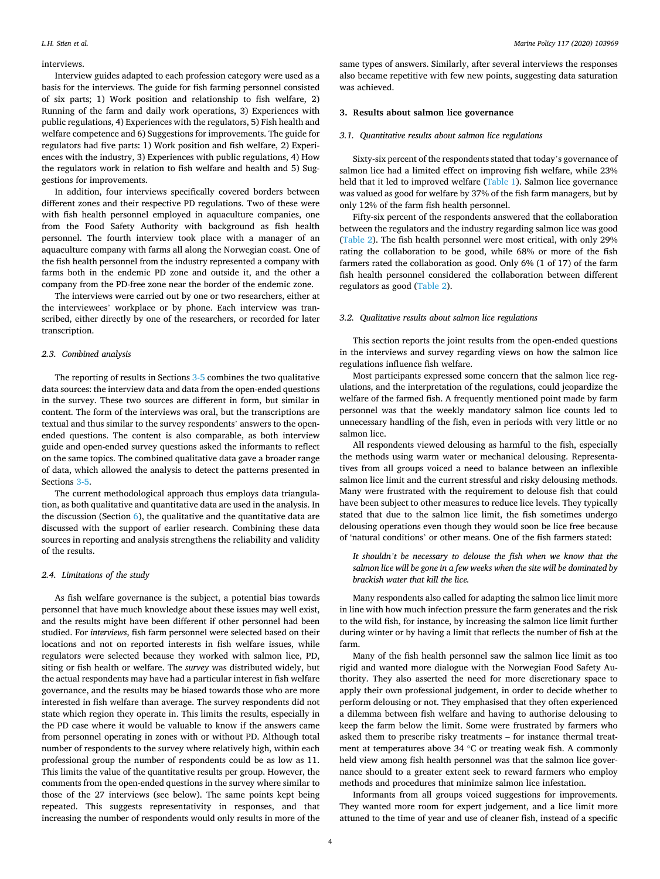#### <span id="page-3-0"></span>interviews.

Interview guides adapted to each profession category were used as a basis for the interviews. The guide for fish farming personnel consisted of six parts; 1) Work position and relationship to fish welfare, 2) Running of the farm and daily work operations, 3) Experiences with public regulations, 4) Experiences with the regulators, 5) Fish health and welfare competence and 6) Suggestions for improvements. The guide for regulators had five parts: 1) Work position and fish welfare, 2) Experiences with the industry, 3) Experiences with public regulations, 4) How the regulators work in relation to fish welfare and health and 5) Suggestions for improvements.

In addition, four interviews specifically covered borders between different zones and their respective PD regulations. Two of these were with fish health personnel employed in aquaculture companies, one from the Food Safety Authority with background as fish health personnel. The fourth interview took place with a manager of an aquaculture company with farms all along the Norwegian coast. One of the fish health personnel from the industry represented a company with farms both in the endemic PD zone and outside it, and the other a company from the PD-free zone near the border of the endemic zone.

The interviews were carried out by one or two researchers, either at the interviewees' workplace or by phone. Each interview was transcribed, either directly by one of the researchers, or recorded for later transcription.

# *2.3. Combined analysis*

The reporting of results in Sections 3-5 combines the two qualitative data sources: the interview data and data from the open-ended questions in the survey. These two sources are different in form, but similar in content. The form of the interviews was oral, but the transcriptions are textual and thus similar to the survey respondents' answers to the openended questions. The content is also comparable, as both interview guide and open-ended survey questions asked the informants to reflect on the same topics. The combined qualitative data gave a broader range of data, which allowed the analysis to detect the patterns presented in Sections 3-5.

The current methodological approach thus employs data triangulation, as both qualitative and quantitative data are used in the analysis. In the discussion (Section  $6$ ), the qualitative and the quantitative data are discussed with the support of earlier research. Combining these data sources in reporting and analysis strengthens the reliability and validity of the results.

# *2.4. Limitations of the study*

As fish welfare governance is the subject, a potential bias towards personnel that have much knowledge about these issues may well exist, and the results might have been different if other personnel had been studied. For *interviews*, fish farm personnel were selected based on their locations and not on reported interests in fish welfare issues, while regulators were selected because they worked with salmon lice, PD, siting or fish health or welfare. The *survey* was distributed widely, but the actual respondents may have had a particular interest in fish welfare governance, and the results may be biased towards those who are more interested in fish welfare than average. The survey respondents did not state which region they operate in. This limits the results, especially in the PD case where it would be valuable to know if the answers came from personnel operating in zones with or without PD. Although total number of respondents to the survey where relatively high, within each professional group the number of respondents could be as low as 11. This limits the value of the quantitative results per group. However, the comments from the open-ended questions in the survey where similar to those of the 27 interviews (see below). The same points kept being repeated. This suggests representativity in responses, and that increasing the number of respondents would only results in more of the same types of answers. Similarly, after several interviews the responses also became repetitive with few new points, suggesting data saturation was achieved.

# **3. Results about salmon lice governance**

# *3.1. Quantitative results about salmon lice regulations*

Sixty-six percent of the respondents stated that today's governance of salmon lice had a limited effect on improving fish welfare, while 23% held that it led to improved welfare [\(Table 1\)](#page-4-0). Salmon lice governance was valued as good for welfare by 37% of the fish farm managers, but by only 12% of the farm fish health personnel.

Fifty-six percent of the respondents answered that the collaboration between the regulators and the industry regarding salmon lice was good ([Table 2](#page-4-0)). The fish health personnel were most critical, with only 29% rating the collaboration to be good, while 68% or more of the fish farmers rated the collaboration as good. Only 6% (1 of 17) of the farm fish health personnel considered the collaboration between different regulators as good ([Table 2](#page-4-0)).

# *3.2. Qualitative results about salmon lice regulations*

This section reports the joint results from the open-ended questions in the interviews and survey regarding views on how the salmon lice regulations influence fish welfare.

Most participants expressed some concern that the salmon lice regulations, and the interpretation of the regulations, could jeopardize the welfare of the farmed fish. A frequently mentioned point made by farm personnel was that the weekly mandatory salmon lice counts led to unnecessary handling of the fish, even in periods with very little or no salmon lice.

All respondents viewed delousing as harmful to the fish, especially the methods using warm water or mechanical delousing. Representatives from all groups voiced a need to balance between an inflexible salmon lice limit and the current stressful and risky delousing methods. Many were frustrated with the requirement to delouse fish that could have been subject to other measures to reduce lice levels. They typically stated that due to the salmon lice limit, the fish sometimes undergo delousing operations even though they would soon be lice free because of 'natural conditions' or other means. One of the fish farmers stated:

*It shouldn't be necessary to delouse the fish when we know that the salmon lice will be gone in a few weeks when the site will be dominated by brackish water that kill the lice.* 

Many respondents also called for adapting the salmon lice limit more in line with how much infection pressure the farm generates and the risk to the wild fish, for instance, by increasing the salmon lice limit further during winter or by having a limit that reflects the number of fish at the farm.

Many of the fish health personnel saw the salmon lice limit as too rigid and wanted more dialogue with the Norwegian Food Safety Authority. They also asserted the need for more discretionary space to apply their own professional judgement, in order to decide whether to perform delousing or not. They emphasised that they often experienced a dilemma between fish welfare and having to authorise delousing to keep the farm below the limit. Some were frustrated by farmers who asked them to prescribe risky treatments – for instance thermal treatment at temperatures above  $34 \text{ °C}$  or treating weak fish. A commonly held view among fish health personnel was that the salmon lice governance should to a greater extent seek to reward farmers who employ methods and procedures that minimize salmon lice infestation.

Informants from all groups voiced suggestions for improvements. They wanted more room for expert judgement, and a lice limit more attuned to the time of year and use of cleaner fish, instead of a specific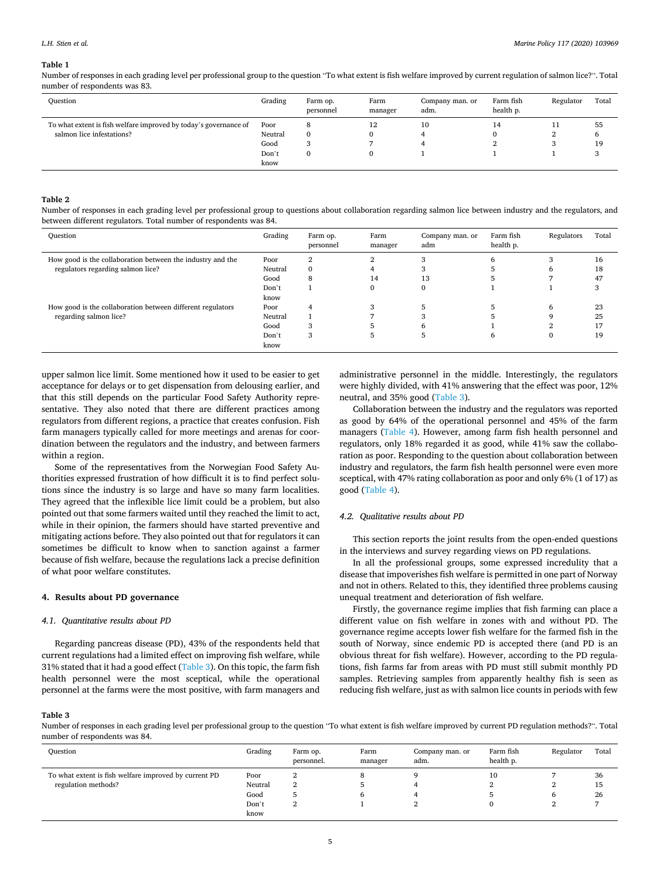#### <span id="page-4-0"></span>**Table 1**

Number of responses in each grading level per professional group to the question "To what extent is fish welfare improved by current regulation of salmon lice?". Total number of respondents was 83.

| <b>Question</b>                                                                               | Grading                                  | Farm op.<br>personnel | Farm<br>manager | Company man, or<br>adm. | Farm fish<br>health p. | Regulator | Total              |
|-----------------------------------------------------------------------------------------------|------------------------------------------|-----------------------|-----------------|-------------------------|------------------------|-----------|--------------------|
| To what extent is fish welfare improved by today's governance of<br>salmon lice infestations? | Poor<br>Neutral<br>Good<br>Don't<br>know | 8<br>0<br>3<br>0      | 12<br>0<br>0    | 10                      | 14                     | 11<br>▵   | 55<br>ь<br>19<br>J |

# **Table 2**

Number of responses in each grading level per professional group to questions about collaboration regarding salmon lice between industry and the regulators, and between different regulators. Total number of respondents was 84.

| Ouestion                                                   | Grading | Farm op.<br>personnel | Farm<br>manager | Company man. or<br>adm | Farm fish<br>health p. | Regulators | Total |
|------------------------------------------------------------|---------|-----------------------|-----------------|------------------------|------------------------|------------|-------|
| How good is the collaboration between the industry and the | Poor    |                       | ົ               | з                      | 6                      | Я          | 16    |
| regulators regarding salmon lice?                          | Neutral | 0                     |                 |                        |                        | 6          | 18    |
|                                                            | Good    | 8                     | 14              | 13                     |                        |            | 47    |
|                                                            | Don't   |                       | $\Omega$        |                        |                        |            |       |
|                                                            | know    |                       |                 |                        |                        |            |       |
| How good is the collaboration between different regulators | Poor    |                       |                 |                        |                        | 6          | 23    |
| regarding salmon lice?                                     | Neutral |                       |                 |                        |                        | q          | 25    |
|                                                            | Good    |                       |                 |                        |                        |            | 17    |
|                                                            | Don't   |                       |                 |                        | h                      | 0          | 19    |
|                                                            | know    |                       |                 |                        |                        |            |       |

upper salmon lice limit. Some mentioned how it used to be easier to get acceptance for delays or to get dispensation from delousing earlier, and that this still depends on the particular Food Safety Authority representative. They also noted that there are different practices among regulators from different regions, a practice that creates confusion. Fish farm managers typically called for more meetings and arenas for coordination between the regulators and the industry, and between farmers within a region.

Some of the representatives from the Norwegian Food Safety Authorities expressed frustration of how difficult it is to find perfect solutions since the industry is so large and have so many farm localities. They agreed that the inflexible lice limit could be a problem, but also pointed out that some farmers waited until they reached the limit to act, while in their opinion, the farmers should have started preventive and mitigating actions before. They also pointed out that for regulators it can sometimes be difficult to know when to sanction against a farmer because of fish welfare, because the regulations lack a precise definition of what poor welfare constitutes.

# **4. Results about PD governance**

## *4.1. Quantitative results about PD*

Regarding pancreas disease (PD), 43% of the respondents held that current regulations had a limited effect on improving fish welfare, while 31% stated that it had a good effect (Table 3). On this topic, the farm fish health personnel were the most sceptical, while the operational personnel at the farms were the most positive, with farm managers and

administrative personnel in the middle. Interestingly, the regulators were highly divided, with 41% answering that the effect was poor, 12% neutral, and 35% good (Table 3).

Collaboration between the industry and the regulators was reported as good by 64% of the operational personnel and 45% of the farm managers ([Table 4\)](#page-5-0). However, among farm fish health personnel and regulators, only 18% regarded it as good, while 41% saw the collaboration as poor. Responding to the question about collaboration between industry and regulators, the farm fish health personnel were even more sceptical, with 47% rating collaboration as poor and only 6% (1 of 17) as good [\(Table 4\)](#page-5-0).

# *4.2. Qualitative results about PD*

This section reports the joint results from the open-ended questions in the interviews and survey regarding views on PD regulations.

In all the professional groups, some expressed incredulity that a disease that impoverishes fish welfare is permitted in one part of Norway and not in others. Related to this, they identified three problems causing unequal treatment and deterioration of fish welfare.

Firstly, the governance regime implies that fish farming can place a different value on fish welfare in zones with and without PD. The governance regime accepts lower fish welfare for the farmed fish in the south of Norway, since endemic PD is accepted there (and PD is an obvious threat for fish welfare). However, according to the PD regulations, fish farms far from areas with PD must still submit monthly PD samples. Retrieving samples from apparently healthy fish is seen as reducing fish welfare, just as with salmon lice counts in periods with few

#### **Table 3**

Number of responses in each grading level per professional group to the question "To what extent is fish welfare improved by current PD regulation methods?". Total number of respondents was 84.

| <b>Ouestion</b>                                       | Grading | Farm op.<br>personnel. | Farm<br>manager | Company man. or<br>adm. | Farm fish<br>health p. | Regulator | Total |
|-------------------------------------------------------|---------|------------------------|-----------------|-------------------------|------------------------|-----------|-------|
| To what extent is fish welfare improved by current PD | Poor    |                        |                 |                         | 10                     |           | 36    |
| regulation methods?                                   | Neutral | 2                      |                 |                         | ı                      | ▵         | 15    |
|                                                       | Good    |                        |                 |                         |                        |           | 26    |
|                                                       | Don't   |                        |                 |                         |                        | ∼         |       |
|                                                       | know    |                        |                 |                         |                        |           |       |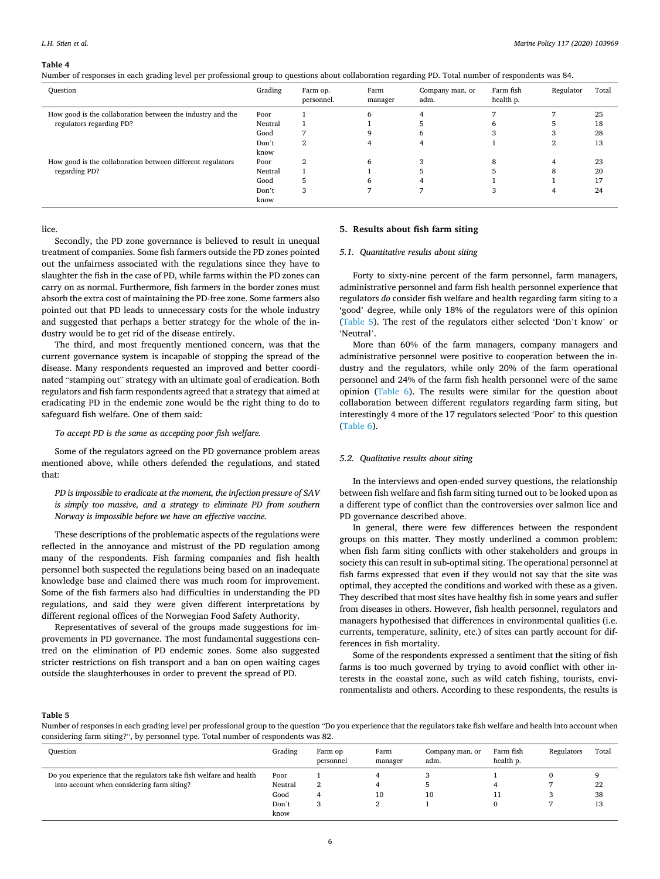<span id="page-5-0"></span>**Table 4** 

|  |  |  |  |  | Number of responses in each grading level per professional group to questions about collaboration regarding PD. Total number of respondents was 84. |
|--|--|--|--|--|-----------------------------------------------------------------------------------------------------------------------------------------------------|
|--|--|--|--|--|-----------------------------------------------------------------------------------------------------------------------------------------------------|

| <b>Question</b>                                            | Grading | Farm op.<br>personnel. | Farm<br>manager | Company man. or<br>adm. | Farm fish<br>health p. | Regulator | Total |
|------------------------------------------------------------|---------|------------------------|-----------------|-------------------------|------------------------|-----------|-------|
| How good is the collaboration between the industry and the | Poor    |                        | b               |                         |                        |           | 25    |
| regulators regarding PD?                                   | Neutral |                        |                 |                         | 6                      | h         | 18    |
|                                                            | Good    | ⇁                      | q               | 6                       |                        | 3         | 28    |
|                                                            | Don't   | ົ                      | 4               |                         |                        | 2         | 13    |
|                                                            | know    |                        |                 |                         |                        |           |       |
| How good is the collaboration between different regulators | Poor    |                        | b               | $\Omega$                |                        | 4         | 23    |
| regarding PD?                                              | Neutral |                        |                 |                         |                        | 8         | 20    |
|                                                            | Good    | 5                      | b               |                         |                        |           | 17    |
|                                                            | Don't   | 3                      |                 |                         |                        | 4         | 24    |
|                                                            | know    |                        |                 |                         |                        |           |       |

lice.

Secondly, the PD zone governance is believed to result in unequal treatment of companies. Some fish farmers outside the PD zones pointed out the unfairness associated with the regulations since they have to slaughter the fish in the case of PD, while farms within the PD zones can carry on as normal. Furthermore, fish farmers in the border zones must absorb the extra cost of maintaining the PD-free zone. Some farmers also pointed out that PD leads to unnecessary costs for the whole industry and suggested that perhaps a better strategy for the whole of the industry would be to get rid of the disease entirely.

The third, and most frequently mentioned concern, was that the current governance system is incapable of stopping the spread of the disease. Many respondents requested an improved and better coordinated "stamping out" strategy with an ultimate goal of eradication. Both regulators and fish farm respondents agreed that a strategy that aimed at eradicating PD in the endemic zone would be the right thing to do to safeguard fish welfare. One of them said:

## *To accept PD is the same as accepting poor fish welfare.*

Some of the regulators agreed on the PD governance problem areas mentioned above, while others defended the regulations, and stated that:

*PD is impossible to eradicate at the moment, the infection pressure of SAV is simply too massive, and a strategy to eliminate PD from southern Norway is impossible before we have an effective vaccine.* 

These descriptions of the problematic aspects of the regulations were reflected in the annoyance and mistrust of the PD regulation among many of the respondents. Fish farming companies and fish health personnel both suspected the regulations being based on an inadequate knowledge base and claimed there was much room for improvement. Some of the fish farmers also had difficulties in understanding the PD regulations, and said they were given different interpretations by different regional offices of the Norwegian Food Safety Authority.

Representatives of several of the groups made suggestions for improvements in PD governance. The most fundamental suggestions centred on the elimination of PD endemic zones. Some also suggested stricter restrictions on fish transport and a ban on open waiting cages outside the slaughterhouses in order to prevent the spread of PD.

# **5. Results about fish farm siting**

#### *5.1. Quantitative results about siting*

Forty to sixty-nine percent of the farm personnel, farm managers, administrative personnel and farm fish health personnel experience that regulators *do* consider fish welfare and health regarding farm siting to a 'good' degree, while only 18% of the regulators were of this opinion (Table 5). The rest of the regulators either selected 'Don't know' or 'Neutral'.

More than 60% of the farm managers, company managers and administrative personnel were positive to cooperation between the industry and the regulators, while only 20% of the farm operational personnel and 24% of the farm fish health personnel were of the same opinion ([Table 6](#page-6-0)). The results were similar for the question about collaboration between different regulators regarding farm siting, but interestingly 4 more of the 17 regulators selected 'Poor' to this question ([Table 6](#page-6-0)).

## *5.2. Qualitative results about siting*

In the interviews and open-ended survey questions, the relationship between fish welfare and fish farm siting turned out to be looked upon as a different type of conflict than the controversies over salmon lice and PD governance described above.

In general, there were few differences between the respondent groups on this matter. They mostly underlined a common problem: when fish farm siting conflicts with other stakeholders and groups in society this can result in sub-optimal siting. The operational personnel at fish farms expressed that even if they would not say that the site was optimal, they accepted the conditions and worked with these as a given. They described that most sites have healthy fish in some years and suffer from diseases in others. However, fish health personnel, regulators and managers hypothesised that differences in environmental qualities (i.e. currents, temperature, salinity, etc.) of sites can partly account for differences in fish mortality.

Some of the respondents expressed a sentiment that the siting of fish farms is too much governed by trying to avoid conflict with other interests in the coastal zone, such as wild catch fishing, tourists, environmentalists and others. According to these respondents, the results is

# **Table 5**

Number of responses in each grading level per professional group to the question "Do you experience that the regulators take fish welfare and health into account when considering farm siting?", by personnel type. Total number of respondents was 82.

| <b>Ouestion</b>                                                                                                  | Grading         | Farm op<br>personnel | Farm<br>manager | Company man. or<br>adm. | Farm fish<br>health p. | Regulators | Total |
|------------------------------------------------------------------------------------------------------------------|-----------------|----------------------|-----------------|-------------------------|------------------------|------------|-------|
| Do you experience that the regulators take fish welfare and health<br>into account when considering farm siting? | Poor<br>Neutral | ◠                    |                 |                         |                        |            | 22    |
|                                                                                                                  | Good            | ∼                    | 10              | 10                      |                        | З          | 38    |
|                                                                                                                  | Don't           |                      |                 |                         | 11                     |            | 13    |
|                                                                                                                  | know            |                      |                 |                         |                        |            |       |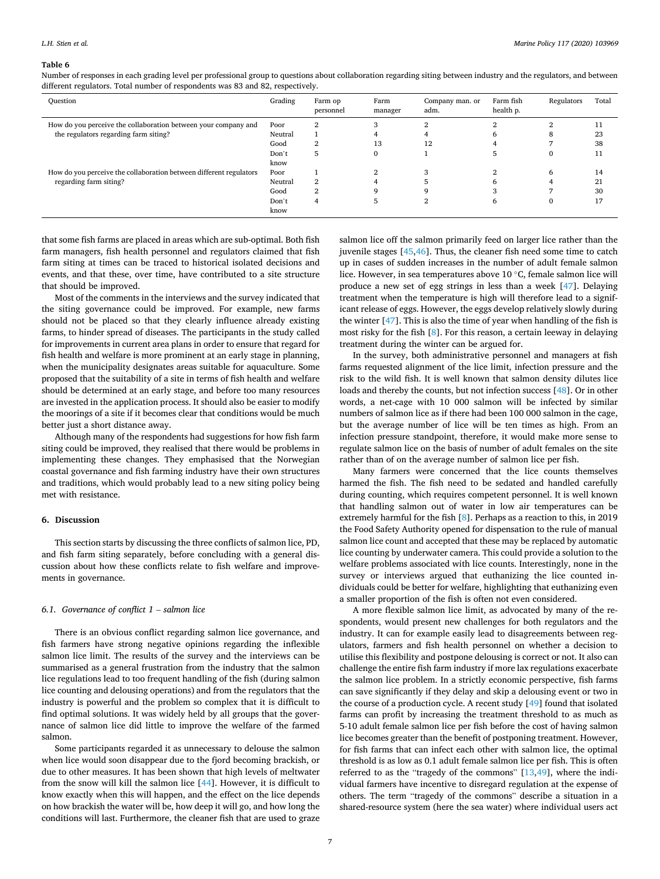#### <span id="page-6-0"></span>**Table 6**

Number of responses in each grading level per professional group to questions about collaboration regarding siting between industry and the regulators, and between different regulators. Total number of respondents was 83 and 82, respectively.

| <b>Question</b>                                                    | Grading       | Farm op<br>personnel | Farm<br>manager | Company man. or<br>adm. | Farm fish<br>health p. | Regulators | Total |
|--------------------------------------------------------------------|---------------|----------------------|-----------------|-------------------------|------------------------|------------|-------|
| How do you perceive the collaboration between your company and     | Poor          |                      |                 |                         | ົ                      |            | 11    |
| the regulators regarding farm siting?                              | Neutral       |                      |                 |                         | 6                      | o          | 23    |
|                                                                    | Good          | റ                    | 13              | 12                      |                        |            | 38    |
|                                                                    | Don't<br>know | C.                   | $\Omega$        |                         |                        |            | 11    |
| How do you perceive the collaboration between different regulators | Poor          |                      |                 |                         |                        | h          | 14    |
| regarding farm siting?                                             | Neutral       | $\overline{2}$       |                 |                         | 6                      |            | 21    |
|                                                                    | Good          | $\overline{2}$       |                 |                         |                        |            | 30    |
|                                                                    | Don't<br>know |                      |                 |                         | <sub>t</sub>           |            | 17    |

that some fish farms are placed in areas which are sub-optimal. Both fish farm managers, fish health personnel and regulators claimed that fish farm siting at times can be traced to historical isolated decisions and events, and that these, over time, have contributed to a site structure that should be improved.

Most of the comments in the interviews and the survey indicated that the siting governance could be improved. For example, new farms should not be placed so that they clearly influence already existing farms, to hinder spread of diseases. The participants in the study called for improvements in current area plans in order to ensure that regard for fish health and welfare is more prominent at an early stage in planning, when the municipality designates areas suitable for aquaculture. Some proposed that the suitability of a site in terms of fish health and welfare should be determined at an early stage, and before too many resources are invested in the application process. It should also be easier to modify the moorings of a site if it becomes clear that conditions would be much better just a short distance away.

Although many of the respondents had suggestions for how fish farm siting could be improved, they realised that there would be problems in implementing these changes. They emphasised that the Norwegian coastal governance and fish farming industry have their own structures and traditions, which would probably lead to a new siting policy being met with resistance.

## **6. Discussion**

This section starts by discussing the three conflicts of salmon lice, PD, and fish farm siting separately, before concluding with a general discussion about how these conflicts relate to fish welfare and improvements in governance.

# *6.1. Governance of conflict 1* – *salmon lice*

There is an obvious conflict regarding salmon lice governance, and fish farmers have strong negative opinions regarding the inflexible salmon lice limit. The results of the survey and the interviews can be summarised as a general frustration from the industry that the salmon lice regulations lead to too frequent handling of the fish (during salmon lice counting and delousing operations) and from the regulators that the industry is powerful and the problem so complex that it is difficult to find optimal solutions. It was widely held by all groups that the governance of salmon lice did little to improve the welfare of the farmed salmon.

Some participants regarded it as unnecessary to delouse the salmon when lice would soon disappear due to the fjord becoming brackish, or due to other measures. It has been shown that high levels of meltwater from the snow will kill the salmon lice [[44\]](#page-9-0). However, it is difficult to know exactly when this will happen, and the effect on the lice depends on how brackish the water will be, how deep it will go, and how long the conditions will last. Furthermore, the cleaner fish that are used to graze

salmon lice off the salmon primarily feed on larger lice rather than the juvenile stages [\[45,46](#page-9-0)]. Thus, the cleaner fish need some time to catch up in cases of sudden increases in the number of adult female salmon lice. However, in sea temperatures above 10 °C, female salmon lice will produce a new set of egg strings in less than a week [\[47](#page-9-0)]. Delaying treatment when the temperature is high will therefore lead to a significant release of eggs. However, the eggs develop relatively slowly during the winter [[47\]](#page-9-0). This is also the time of year when handling of the fish is most risky for the fish [\[8\]](#page-9-0). For this reason, a certain leeway in delaying treatment during the winter can be argued for.

In the survey, both administrative personnel and managers at fish farms requested alignment of the lice limit, infection pressure and the risk to the wild fish. It is well known that salmon density dilutes lice loads and thereby the counts, but not infection success [[48\]](#page-9-0). Or in other words, a net-cage with 10 000 salmon will be infected by similar numbers of salmon lice as if there had been 100 000 salmon in the cage, but the average number of lice will be ten times as high. From an infection pressure standpoint, therefore, it would make more sense to regulate salmon lice on the basis of number of adult females on the site rather than of on the average number of salmon lice per fish.

Many farmers were concerned that the lice counts themselves harmed the fish. The fish need to be sedated and handled carefully during counting, which requires competent personnel. It is well known that handling salmon out of water in low air temperatures can be extremely harmful for the fish [[8](#page-9-0)]. Perhaps as a reaction to this, in 2019 the Food Safety Authority opened for dispensation to the rule of manual salmon lice count and accepted that these may be replaced by automatic lice counting by underwater camera. This could provide a solution to the welfare problems associated with lice counts. Interestingly, none in the survey or interviews argued that euthanizing the lice counted individuals could be better for welfare, highlighting that euthanizing even a smaller proportion of the fish is often not even considered.

A more flexible salmon lice limit, as advocated by many of the respondents, would present new challenges for both regulators and the industry. It can for example easily lead to disagreements between regulators, farmers and fish health personnel on whether a decision to utilise this flexibility and postpone delousing is correct or not. It also can challenge the entire fish farm industry if more lax regulations exacerbate the salmon lice problem. In a strictly economic perspective, fish farms can save significantly if they delay and skip a delousing event or two in the course of a production cycle. A recent study [[49](#page-9-0)] found that isolated farms can profit by increasing the treatment threshold to as much as 5-10 adult female salmon lice per fish before the cost of having salmon lice becomes greater than the benefit of postponing treatment. However, for fish farms that can infect each other with salmon lice, the optimal threshold is as low as 0.1 adult female salmon lice per fish. This is often referred to as the "tragedy of the commons" [\[13](#page-9-0),[49\]](#page-9-0), where the individual farmers have incentive to disregard regulation at the expense of others. The term "tragedy of the commons" describe a situation in a shared-resource system (here the sea water) where individual users act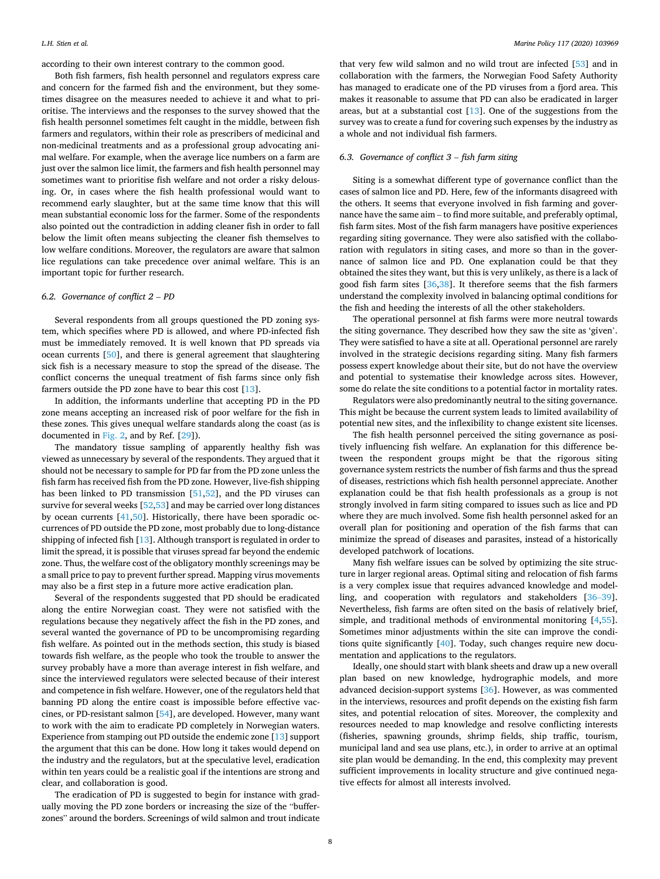according to their own interest contrary to the common good.

Both fish farmers, fish health personnel and regulators express care and concern for the farmed fish and the environment, but they sometimes disagree on the measures needed to achieve it and what to prioritise. The interviews and the responses to the survey showed that the fish health personnel sometimes felt caught in the middle, between fish farmers and regulators, within their role as prescribers of medicinal and non-medicinal treatments and as a professional group advocating animal welfare. For example, when the average lice numbers on a farm are just over the salmon lice limit, the farmers and fish health personnel may sometimes want to prioritise fish welfare and not order a risky delousing. Or, in cases where the fish health professional would want to recommend early slaughter, but at the same time know that this will mean substantial economic loss for the farmer. Some of the respondents also pointed out the contradiction in adding cleaner fish in order to fall below the limit often means subjecting the cleaner fish themselves to low welfare conditions. Moreover, the regulators are aware that salmon lice regulations can take precedence over animal welfare. This is an important topic for further research.

# *6.2. Governance of conflict 2* – *PD*

Several respondents from all groups questioned the PD zoning system, which specifies where PD is allowed, and where PD-infected fish must be immediately removed. It is well known that PD spreads via ocean currents [\[50](#page-9-0)], and there is general agreement that slaughtering sick fish is a necessary measure to stop the spread of the disease. The conflict concerns the unequal treatment of fish farms since only fish farmers outside the PD zone have to bear this cost [\[13](#page-9-0)].

In addition, the informants underline that accepting PD in the PD zone means accepting an increased risk of poor welfare for the fish in these zones. This gives unequal welfare standards along the coast (as is documented in [Fig. 2,](#page-2-0) and by Ref. [[29\]](#page-9-0)).

The mandatory tissue sampling of apparently healthy fish was viewed as unnecessary by several of the respondents. They argued that it should not be necessary to sample for PD far from the PD zone unless the fish farm has received fish from the PD zone. However, live-fish shipping has been linked to PD transmission  $[51,52]$  $[51,52]$ , and the PD viruses can survive for several weeks [\[52](#page-10-0),[53](#page-10-0)] and may be carried over long distances by ocean currents [[41,50\]](#page-9-0). Historically, there have been sporadic occurrences of PD outside the PD zone, most probably due to long-distance shipping of infected fish [[13\]](#page-9-0). Although transport is regulated in order to limit the spread, it is possible that viruses spread far beyond the endemic zone. Thus, the welfare cost of the obligatory monthly screenings may be a small price to pay to prevent further spread. Mapping virus movements may also be a first step in a future more active eradication plan.

Several of the respondents suggested that PD should be eradicated along the entire Norwegian coast. They were not satisfied with the regulations because they negatively affect the fish in the PD zones, and several wanted the governance of PD to be uncompromising regarding fish welfare. As pointed out in the methods section, this study is biased towards fish welfare, as the people who took the trouble to answer the survey probably have a more than average interest in fish welfare, and since the interviewed regulators were selected because of their interest and competence in fish welfare. However, one of the regulators held that banning PD along the entire coast is impossible before effective vaccines, or PD-resistant salmon [[54\]](#page-10-0), are developed. However, many want to work with the aim to eradicate PD completely in Norwegian waters. Experience from stamping out PD outside the endemic zone [[13\]](#page-9-0) support the argument that this can be done. How long it takes would depend on the industry and the regulators, but at the speculative level, eradication within ten years could be a realistic goal if the intentions are strong and clear, and collaboration is good.

The eradication of PD is suggested to begin for instance with gradually moving the PD zone borders or increasing the size of the "bufferzones" around the borders. Screenings of wild salmon and trout indicate

that very few wild salmon and no wild trout are infected [\[53](#page-10-0)] and in collaboration with the farmers, the Norwegian Food Safety Authority has managed to eradicate one of the PD viruses from a fjord area. This makes it reasonable to assume that PD can also be eradicated in larger areas, but at a substantial cost  $[13]$  $[13]$ . One of the suggestions from the survey was to create a fund for covering such expenses by the industry as a whole and not individual fish farmers.

## *6.3. Governance of conflict 3* – *fish farm siting*

Siting is a somewhat different type of governance conflict than the cases of salmon lice and PD. Here, few of the informants disagreed with the others. It seems that everyone involved in fish farming and governance have the same aim – to find more suitable, and preferably optimal, fish farm sites. Most of the fish farm managers have positive experiences regarding siting governance. They were also satisfied with the collaboration with regulators in siting cases, and more so than in the governance of salmon lice and PD. One explanation could be that they obtained the sites they want, but this is very unlikely, as there is a lack of good fish farm sites [\[36](#page-9-0),[38\]](#page-9-0). It therefore seems that the fish farmers understand the complexity involved in balancing optimal conditions for the fish and heeding the interests of all the other stakeholders.

The operational personnel at fish farms were more neutral towards the siting governance. They described how they saw the site as 'given'. They were satisfied to have a site at all. Operational personnel are rarely involved in the strategic decisions regarding siting. Many fish farmers possess expert knowledge about their site, but do not have the overview and potential to systematise their knowledge across sites. However, some do relate the site conditions to a potential factor in mortality rates.

Regulators were also predominantly neutral to the siting governance. This might be because the current system leads to limited availability of potential new sites, and the inflexibility to change existent site licenses.

The fish health personnel perceived the siting governance as positively influencing fish welfare. An explanation for this difference between the respondent groups might be that the rigorous siting governance system restricts the number of fish farms and thus the spread of diseases, restrictions which fish health personnel appreciate. Another explanation could be that fish health professionals as a group is not strongly involved in farm siting compared to issues such as lice and PD where they are much involved. Some fish health personnel asked for an overall plan for positioning and operation of the fish farms that can minimize the spread of diseases and parasites, instead of a historically developed patchwork of locations.

Many fish welfare issues can be solved by optimizing the site structure in larger regional areas. Optimal siting and relocation of fish farms is a very complex issue that requires advanced knowledge and modelling, and cooperation with regulators and stakeholders [\[36](#page-9-0)–39]. Nevertheless, fish farms are often sited on the basis of relatively brief, simple, and traditional methods of environmental monitoring [\[4,](#page-8-0)[55](#page-10-0)]. Sometimes minor adjustments within the site can improve the conditions quite significantly [\[40](#page-9-0)]. Today, such changes require new documentation and applications to the regulators.

Ideally, one should start with blank sheets and draw up a new overall plan based on new knowledge, hydrographic models, and more advanced decision-support systems [[36\]](#page-9-0). However, as was commented in the interviews, resources and profit depends on the existing fish farm sites, and potential relocation of sites. Moreover, the complexity and resources needed to map knowledge and resolve conflicting interests (fisheries, spawning grounds, shrimp fields, ship traffic, tourism, municipal land and sea use plans, etc.), in order to arrive at an optimal site plan would be demanding. In the end, this complexity may prevent sufficient improvements in locality structure and give continued negative effects for almost all interests involved.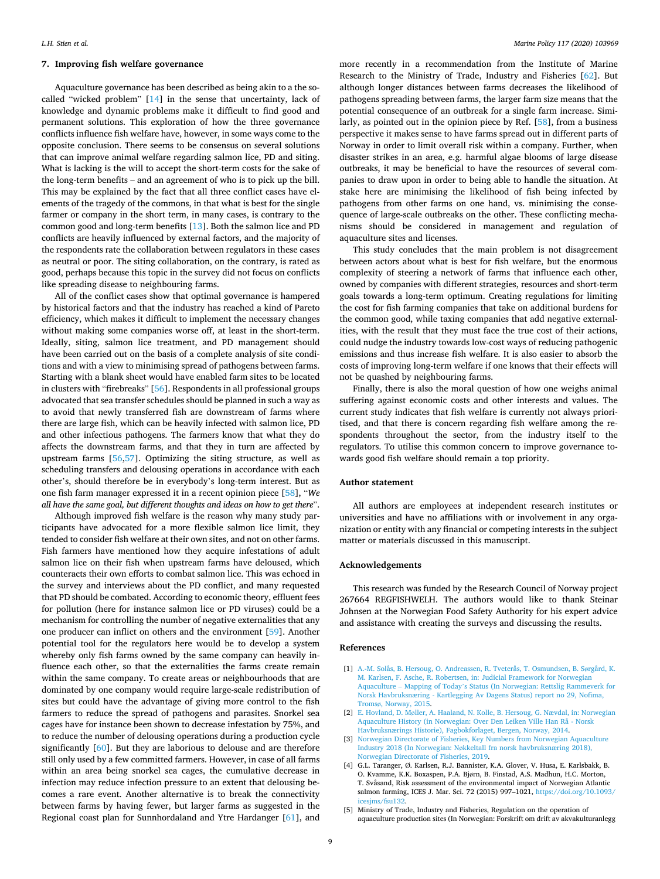# <span id="page-8-0"></span>**7. Improving fish welfare governance**

Aquaculture governance has been described as being akin to a the socalled "wicked problem" [[14\]](#page-9-0) in the sense that uncertainty, lack of knowledge and dynamic problems make it difficult to find good and permanent solutions. This exploration of how the three governance conflicts influence fish welfare have, however, in some ways come to the opposite conclusion. There seems to be consensus on several solutions that can improve animal welfare regarding salmon lice, PD and siting. What is lacking is the will to accept the short-term costs for the sake of the long-term benefits – and an agreement of who is to pick up the bill. This may be explained by the fact that all three conflict cases have elements of the tragedy of the commons, in that what is best for the single farmer or company in the short term, in many cases, is contrary to the common good and long-term benefits [[13\]](#page-9-0). Both the salmon lice and PD conflicts are heavily influenced by external factors, and the majority of the respondents rate the collaboration between regulators in these cases as neutral or poor. The siting collaboration, on the contrary, is rated as good, perhaps because this topic in the survey did not focus on conflicts like spreading disease to neighbouring farms.

All of the conflict cases show that optimal governance is hampered by historical factors and that the industry has reached a kind of Pareto efficiency, which makes it difficult to implement the necessary changes without making some companies worse off, at least in the short-term. Ideally, siting, salmon lice treatment, and PD management should have been carried out on the basis of a complete analysis of site conditions and with a view to minimising spread of pathogens between farms. Starting with a blank sheet would have enabled farm sites to be located in clusters with "firebreaks" [\[56](#page-10-0)]. Respondents in all professional groups advocated that sea transfer schedules should be planned in such a way as to avoid that newly transferred fish are downstream of farms where there are large fish, which can be heavily infected with salmon lice, PD and other infectious pathogens. The farmers know that what they do affects the downstream farms, and that they in turn are affected by upstream farms [[56](#page-10-0),[57\]](#page-10-0). Optimizing the siting structure, as well as scheduling transfers and delousing operations in accordance with each other's, should therefore be in everybody's long-term interest. But as one fish farm manager expressed it in a recent opinion piece [\[58](#page-10-0)], "*We all have the same goal, but different thoughts and ideas on how to get there*".

Although improved fish welfare is the reason why many study participants have advocated for a more flexible salmon lice limit, they tended to consider fish welfare at their own sites, and not on other farms. Fish farmers have mentioned how they acquire infestations of adult salmon lice on their fish when upstream farms have deloused, which counteracts their own efforts to combat salmon lice. This was echoed in the survey and interviews about the PD conflict, and many requested that PD should be combated. According to economic theory, effluent fees for pollution (here for instance salmon lice or PD viruses) could be a mechanism for controlling the number of negative externalities that any one producer can inflict on others and the environment [[59\]](#page-10-0). Another potential tool for the regulators here would be to develop a system whereby only fish farms owned by the same company can heavily influence each other, so that the externalities the farms create remain within the same company. To create areas or neighbourhoods that are dominated by one company would require large-scale redistribution of sites but could have the advantage of giving more control to the fish farmers to reduce the spread of pathogens and parasites. Snorkel sea cages have for instance been shown to decrease infestation by 75%, and to reduce the number of delousing operations during a production cycle significantly [\[60](#page-10-0)]. But they are laborious to delouse and are therefore still only used by a few committed farmers. However, in case of all farms within an area being snorkel sea cages, the cumulative decrease in infection may reduce infection pressure to an extent that delousing becomes a rare event. Another alternative is to break the connectivity between farms by having fewer, but larger farms as suggested in the Regional coast plan for Sunnhordaland and Ytre Hardanger [\[61](#page-10-0)], and

more recently in a recommendation from the Institute of Marine Research to the Ministry of Trade, Industry and Fisheries [\[62](#page-10-0)]. But although longer distances between farms decreases the likelihood of pathogens spreading between farms, the larger farm size means that the potential consequence of an outbreak for a single farm increase. Similarly, as pointed out in the opinion piece by Ref. [\[58](#page-10-0)], from a business perspective it makes sense to have farms spread out in different parts of Norway in order to limit overall risk within a company. Further, when disaster strikes in an area, e.g. harmful algae blooms of large disease outbreaks, it may be beneficial to have the resources of several companies to draw upon in order to being able to handle the situation. At stake here are minimising the likelihood of fish being infected by pathogens from other farms on one hand, vs. minimising the consequence of large-scale outbreaks on the other. These conflicting mechanisms should be considered in management and regulation of aquaculture sites and licenses.

This study concludes that the main problem is not disagreement between actors about what is best for fish welfare, but the enormous complexity of steering a network of farms that influence each other, owned by companies with different strategies, resources and short-term goals towards a long-term optimum. Creating regulations for limiting the cost for fish farming companies that take on additional burdens for the common good, while taxing companies that add negative externalities, with the result that they must face the true cost of their actions, could nudge the industry towards low-cost ways of reducing pathogenic emissions and thus increase fish welfare. It is also easier to absorb the costs of improving long-term welfare if one knows that their effects will not be quashed by neighbouring farms.

Finally, there is also the moral question of how one weighs animal suffering against economic costs and other interests and values. The current study indicates that fish welfare is currently not always prioritised, and that there is concern regarding fish welfare among the respondents throughout the sector, from the industry itself to the regulators. To utilise this common concern to improve governance towards good fish welfare should remain a top priority.

## **Author statement**

All authors are employees at independent research institutes or universities and have no affiliations with or involvement in any organization or entity with any financial or competing interests in the subject matter or materials discussed in this manuscript.

# **Acknowledgements**

This research was funded by the Research Council of Norway project 267664 REGFISHWELH. The authors would like to thank Steinar Johnsen at the Norwegian Food Safety Authority for his expert advice and assistance with creating the surveys and discussing the results.

# **References**

- [1] [A.-M. Solås, B. Hersoug, O. Andreassen, R. Tveterås, T. Osmundsen, B. S](http://refhub.elsevier.com/S0308-597X(19)30910-8/sref1)ørgård, K. [M. Karlsen, F. Asche, R. Robertsen, in: Judicial Framework for Norwegian](http://refhub.elsevier.com/S0308-597X(19)30910-8/sref1) Aquaculture – Mapping of Today'[s Status \(In Norwegian: Rettslig Rammeverk for](http://refhub.elsevier.com/S0308-597X(19)30910-8/sref1) [Norsk Havbruksnæring - Kartlegging Av Dagens Status\) report no 29, Nofima,](http://refhub.elsevier.com/S0308-597X(19)30910-8/sref1) Tromsø[, Norway, 2015](http://refhub.elsevier.com/S0308-597X(19)30910-8/sref1).
- [2] E. Hovland, D. Mø[ller, A. Haaland, N. Kolle, B. Hersoug, G. Nævdal, in: Norwegian](http://refhub.elsevier.com/S0308-597X(19)30910-8/sref2)  [Aquaculture History \(in Norwegian: Over Den Leiken Ville Han Rå - Norsk](http://refhub.elsevier.com/S0308-597X(19)30910-8/sref2) [Havbruksnærings Historie\), Fagbokforlaget, Bergen, Norway, 2014.](http://refhub.elsevier.com/S0308-597X(19)30910-8/sref2)
- [3] [Norwegian Directorate of Fisheries, Key Numbers from Norwegian Aquaculture](http://refhub.elsevier.com/S0308-597X(19)30910-8/sref3) Industry 2018 (In Norwegian: Nø[kkeltall fra norsk havbruksnæring 2018\),](http://refhub.elsevier.com/S0308-597X(19)30910-8/sref3)  [Norwegian Directorate of Fisheries, 2019](http://refhub.elsevier.com/S0308-597X(19)30910-8/sref3).
- [4] G.L. Taranger, Ø. Karlsen, R.J. Bannister, K.A. Glover, V. Husa, E. Karlsbakk, B. O. Kvamme, K.K. Boxaspen, P.A. Bjørn, B. Finstad, A.S. Madhun, H.C. Morton, T. Svåsand, Risk assessment of the environmental impact of Norwegian Atlantic salmon farming, ICES J. Mar. Sci. 72 (2015) 997–1021, [https://doi.org/10.1093/](https://doi.org/10.1093/icesjms/fsu132)  icesims/fsu132
- [5] Ministry of Trade, Industry and Fisheries, Regulation on the operation of aquaculture production sites (In Norwegian: Forskrift om drift av akvakulturanlegg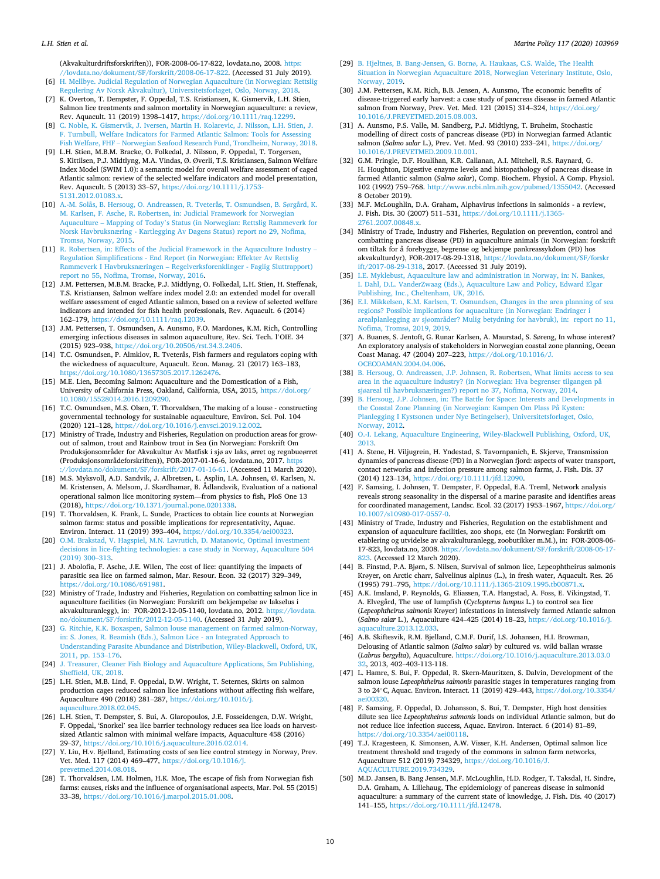<span id="page-9-0"></span>(Akvakulturdriftsforskriften)), FOR-2008-06-17-822, lovdata.no, 2008. http [//lovdata.no/dokument/SF/forskrift/2008-06-17-822](https://lovdata.no/dokument/SF/forskrift/2008-06-17-822). (Accessed 31 July 2019).

- [6] [H. Mellbye. Judicial Regulation of Norwegian Aquaculture \(in Norwegian: Rettslig](http://refhub.elsevier.com/S0308-597X(19)30910-8/sref6)  [Regulering Av Norsk Akvakultur\), Universitetsforlaget, Oslo, Norway, 2018](http://refhub.elsevier.com/S0308-597X(19)30910-8/sref6).
- [7] K. Overton, T. Dempster, F. Oppedal, T.S. Kristiansen, K. Gismervik, L.H. Stien, Salmon lice treatments and salmon mortality in Norwegian aquaculture: a review, Rev. Aquacult. 11 (2019) 1398–1417, [https://doi.org/10.1111/raq.12299.](https://doi.org/10.1111/raq.12299)
- [8] [C. Noble, K. Gismervik, J. Iversen, Martin H. Kolarevic, J. Nilsson, L.H. Stien, J.](http://refhub.elsevier.com/S0308-597X(19)30910-8/sref8)  F. Turnbull, Welfare Indicators for Farmed Atlantic Salmon: Tools for Assessing Fish Welfare, FHF – [Norwegian Seafood Research Fund, Trondheim, Norway, 2018.](http://refhub.elsevier.com/S0308-597X(19)30910-8/sref8)
- [9] L.H. Stien, M.B.M. Bracke, O. Folkedal, J. Nilsson, F. Oppedal, T. Torgersen, S. Kittilsen, P.J. Midtlyng, M.A. Vindas, Ø. Øverli, T.S. Kristiansen, Salmon Welfare Index Model (SWIM 1.0): a semantic model for overall welfare assessment of caged Atlantic salmon: review of the selected welfare indicators and model presentation, Rev. Aquacult. 5 (2013) 33–57, [https://doi.org/10.1111/j.1753-](https://doi.org/10.1111/j.1753-5131.2012.01083.x) [5131.2012.01083.x](https://doi.org/10.1111/j.1753-5131.2012.01083.x).
- [10] [A.-M. Solås, B. Hersoug, O. Andreassen, R. Tveterås, T. Osmundsen, B. S](http://refhub.elsevier.com/S0308-597X(19)30910-8/sref10)ørgård, K. [M. Karlsen, F. Asche, R. Robertsen, in: Judicial Framework for Norwegian](http://refhub.elsevier.com/S0308-597X(19)30910-8/sref10)  Aquaculture – Mapping of Today'[s Status \(in Norwegian: Rettslig Rammeverk for](http://refhub.elsevier.com/S0308-597X(19)30910-8/sref10) [Norsk Havbruksnæring - Kartlegging Av Dagens Status\) report no 29, Nofima,](http://refhub.elsevier.com/S0308-597X(19)30910-8/sref10) Tromsø[, Norway, 2015](http://refhub.elsevier.com/S0308-597X(19)30910-8/sref10).
- [11] [R. Robertsen, in: Effects of the Judicial Framework in the Aquaculture Industry](http://refhub.elsevier.com/S0308-597X(19)30910-8/sref11)  [Regulation Simplifications - End Report \(in Norwegian: Effekter Av Rettslig](http://refhub.elsevier.com/S0308-597X(19)30910-8/sref11)  Rammeverk I Havbruksnæringen – [Regelverksforenklinger - Faglig Sluttrapport\)](http://refhub.elsevier.com/S0308-597X(19)30910-8/sref11) [report no 55, Nofima, Troms](http://refhub.elsevier.com/S0308-597X(19)30910-8/sref11)ø, Norway, 2016.
- [12] J.M. Pettersen, M.B.M. Bracke, P.J. Midtlyng, O. Folkedal, L.H. Stien, H. Steffenak, T.S. Kristiansen, Salmon welfare index model 2.0: an extended model for overall welfare assessment of caged Atlantic salmon, based on a review of selected welfare indicators and intended for fish health professionals, Rev. Aquacult. 6 (2014) 162–179, [https://doi.org/10.1111/raq.12039.](https://doi.org/10.1111/raq.12039)
- [13] J.M. Pettersen, T. Osmundsen, A. Aunsmo, F.O. Mardones, K.M. Rich, Controlling emerging infectious diseases in salmon aquaculture, Rev. Sci. Tech. l'OIE. 34 (2015) 923–938, <https://doi.org/10.20506/rst.34.3.2406>.
- [14] T.C. Osmundsen, P. Almklov, R. Tveterås, Fish farmers and regulators coping with the wickedness of aquaculture, Aquacult. Econ. Manag. 21 (2017) 163–183, [https://doi.org/10.1080/13657305.2017.1262476.](https://doi.org/10.1080/13657305.2017.1262476)
- [15] M.E. Lien, Becoming Salmon: Aquaculture and the Domestication of a Fish, University of California Press, Oakland, California, USA, 2015, [https://doi.org/](https://doi.org/10.1080/15528014.2016.1209290) [10.1080/15528014.2016.1209290](https://doi.org/10.1080/15528014.2016.1209290).
- [16] T.C. Osmundsen, M.S. Olsen, T. Thorvaldsen, The making of a louse constructing governmental technology for sustainable aquaculture, Environ. Sci. Pol. 104 (2020) 121–128, [https://doi.org/10.1016/j.envsci.2019.12.002.](https://doi.org/10.1016/j.envsci.2019.12.002)
- [17] Ministry of Trade, Industry and Fisheries, Regulation on production areas for growout of salmon, trout and Rainbow trout in Sea (in Norwegian: Forskrift Om Produksjonsområder for Akvakultur Av Matfisk i sjø av laks, ørret og regnbueørret (Produksjonsområdeforskriften)), FOR-2017-01-16-6, lovdata.no, 2017. [https](https://lovdata.no/dokument/SF/forskrift/2017-01-16-61) ovdata.no/dokument/SF/forskrift/2017-01-16-61. (Accessed 11 March 2020).
- [18] M.S. Myksvoll, A.D. Sandvik, J. Albretsen, L. Asplin, I.A. Johnsen, Ø. Karlsen, N. M. Kristensen, A. Melsom, J. Skardhamar, B. Ådlandsvik, Evaluation of a national operational salmon lice monitoring system—from physics to fish, PloS One 13 (2018), [https://doi.org/10.1371/journal.pone.0201338.](https://doi.org/10.1371/journal.pone.0201338)
- [19] T. Thorvaldsen, K. Frank, L. Sunde, Practices to obtain lice counts at Norwegian salmon farms: status and possible implications for representativity, Aquac. Environ. Interact. 11 (2019) 393–404,<https://doi.org/10.3354/aei00323>.
- [20] [O.M. Brakstad, V. Hagspiel, M.N. Lavrutich, D. Matanovic, Optimal investment](http://refhub.elsevier.com/S0308-597X(19)30910-8/sref20)  [decisions in lice-fighting technologies: a case study in Norway, Aquaculture 504](http://refhub.elsevier.com/S0308-597X(19)30910-8/sref20) [\(2019\) 300](http://refhub.elsevier.com/S0308-597X(19)30910-8/sref20)–313.
- [21] J. Abolofia, F. Asche, J.E. Wilen, The cost of lice: quantifying the impacts of parasitic sea lice on farmed salmon, Mar. Resour. Econ. 32 (2017) 329–349, [https://doi.org/10.1086/691981.](https://doi.org/10.1086/691981)
- [22] Ministry of Trade, Industry and Fisheries, Regulation on combatting salmon lice in aquaculture facilities (in Norwegian: Forskrift om bekjempelse av lakselus i akvakulturanlegg), in: FOR-2012-12-05-1140, lovdata.no, 2012. [https://lovdata.](https://lovdata.no/dokument/SF/forskrift/2012-12-05-1140) [no/dokument/SF/forskrift/2012-12-05-1140.](https://lovdata.no/dokument/SF/forskrift/2012-12-05-1140) (Accessed 31 July 2019).
- [23] [G. Ritchie, K.K. Boxaspen, Salmon louse management on farmed salmon-Norway,](http://refhub.elsevier.com/S0308-597X(19)30910-8/sref23)  [in: S. Jones, R. Beamish \(Eds.\), Salmon Lice - an Integrated Approach to](http://refhub.elsevier.com/S0308-597X(19)30910-8/sref23)  [Understanding Parasite Abundance and Distribution, Wiley-Blackwell, Oxford, UK,](http://refhub.elsevier.com/S0308-597X(19)30910-8/sref23)  [2011, pp. 153](http://refhub.elsevier.com/S0308-597X(19)30910-8/sref23)–176.
- [24] [J. Treasurer, Cleaner Fish Biology and Aquaculture Applications, 5m Publishing,](http://refhub.elsevier.com/S0308-597X(19)30910-8/sref24)  [Sheffield, UK, 2018.](http://refhub.elsevier.com/S0308-597X(19)30910-8/sref24)
- [25] L.H. Stien, M.B. Lind, F. Oppedal, D.W. Wright, T. Seternes, Skirts on salmon production cages reduced salmon lice infestations without affecting fish welfare, Aquaculture 490 (2018) 281–287, [https://doi.org/10.1016/j.](https://doi.org/10.1016/j.aquaculture.2018.02.045) uaculture.2018.02.045
- [26] L.H. Stien, T. Dempster, S. Bui, A. Glaropoulos, J.E. Fosseidengen, D.W. Wright, F. Oppedal, 'Snorkel' sea lice barrier technology reduces sea lice loads on harvestsized Atlantic salmon with minimal welfare impacts, Aquaculture 458 (2016) 29–37, <https://doi.org/10.1016/j.aquaculture.2016.02.014>.
- [27] Y. Liu, H.v. Bjelland, Estimating costs of sea lice control strategy in Norway, Prev. Vet. Med. 117 (2014) 469–477, [https://doi.org/10.1016/j.](https://doi.org/10.1016/j.prevetmed.2014.08.018) [prevetmed.2014.08.018.](https://doi.org/10.1016/j.prevetmed.2014.08.018)
- [28] T. Thorvaldsen, I.M. Holmen, H.K. Moe, The escape of fish from Norwegian fish farms: causes, risks and the influence of organisational aspects, Mar. Pol. 55 (2015) 33–38, [https://doi.org/10.1016/j.marpol.2015.01.008.](https://doi.org/10.1016/j.marpol.2015.01.008)
- [29] B. Hjeltnes, B. Bang-Jensen, G. Bornø[, A. Haukaas, C.S. Walde, The Health](http://refhub.elsevier.com/S0308-597X(19)30910-8/sref29) [Situation in Norwegian Aquaculture 2018, Norwegian Veterinary Institute, Oslo,](http://refhub.elsevier.com/S0308-597X(19)30910-8/sref29)  [Norway, 2019.](http://refhub.elsevier.com/S0308-597X(19)30910-8/sref29)
- [30] J.M. Pettersen, K.M. Rich, B.B. Jensen, A. Aunsmo, The economic benefits of disease-triggered early harvest: a case study of pancreas disease in farmed Atlantic salmon from Norway, Prev. Vet. Med. 121 (2015) 314–324, https://doi.org/ [10.1016/J.PREVETMED.2015.08.003](https://doi.org/10.1016/J.PREVETMED.2015.08.003).
- [31] A. Aunsmo, P.S. Valle, M. Sandberg, P.J. Midtlyng, T. Bruheim, Stochastic modelling of direct costs of pancreas disease (PD) in Norwegian farmed Atlantic salmon (*Salmo salar* L.), Prev. Vet. Med. 93 (2010) 233–241, [https://doi.org/](https://doi.org/10.1016/J.PREVETMED.2009.10.001)  [10.1016/J.PREVETMED.2009.10.001](https://doi.org/10.1016/J.PREVETMED.2009.10.001).
- [32] G.M. Pringle, D.F. Houlihan, K.R. Callanan, A.I. Mitchell, R.S. Raynard, G. H. Houghton, Digestive enzyme levels and histopathology of pancreas disease in farmed Atlantic salmon (*Salmo salar*), Comp. Biochem. Physiol. A Comp. Physiol. 102 (1992) 759–768. <http://www.ncbi.nlm.nih.gov/pubmed/1355042>. (Accessed 8 October 2019).
- [33] M.F. McLoughlin, D.A. Graham, Alphavirus infections in salmonids a review, J. Fish. Dis. 30 (2007) 511–531, [https://doi.org/10.1111/j.1365-](https://doi.org/10.1111/j.1365-2761.2007.00848.x) [2761.2007.00848.x](https://doi.org/10.1111/j.1365-2761.2007.00848.x).
- [34] Ministry of Trade, Industry and Fisheries, Regulation on prevention, control and combatting pancreas disease (PD) in aquaculture animals (in Norwegian: forskrift om tiltak for å forebygge, begrense og bekjempe pankreassykdom (PD) hos akvakulturdyr), FOR-2017-08-29-1318, [https://lovdata.no/dokument/SF/forskr](https://lovdata.no/dokument/SF/forskrift/2017-08-29-1318)  [ift/2017-08-29-1318,](https://lovdata.no/dokument/SF/forskrift/2017-08-29-1318) 2017. (Accessed 31 July 2019).
- [35] [I.E. Myklebust, Aquaculture law and administration in Norway, in: N. Bankes,](http://refhub.elsevier.com/S0308-597X(19)30910-8/sref35) [I. Dahl, D.L. VanderZwaag \(Eds.\), Aquaculture Law and Policy, Edward Elgar](http://refhub.elsevier.com/S0308-597X(19)30910-8/sref35)  [Publishing, Inc., Cheltenham, UK, 2016.](http://refhub.elsevier.com/S0308-597X(19)30910-8/sref35)
- [36] [E.I. Mikkelsen, K.M. Karlsen, T. Osmundsen, Changes in the area planning of sea](http://refhub.elsevier.com/S0308-597X(19)30910-8/sref36)  [regions? Possible implications for aquaculture \(in Norwegian: Endringer i](http://refhub.elsevier.com/S0308-597X(19)30910-8/sref36) arealplanlegging av sjø[områder? Mulig betydning for havbruk\), in: report no 11,](http://refhub.elsevier.com/S0308-597X(19)30910-8/sref36)  [Nofima, Troms](http://refhub.elsevier.com/S0308-597X(19)30910-8/sref36)ø, 2019, 2019.
- [37] A. Buanes, S. Jentoft, G. Runar Karlsen, A. Maurstad, S. Søreng, In whose interest? An exploratory analysis of stakeholders in Norwegian coastal zone planning, Ocean Coast Manag. 47 (2004) 207–223, [https://doi.org/10.1016/J.](https://doi.org/10.1016/J.OCECOAMAN.2004.04.006)  [OCECOAMAN.2004.04.006.](https://doi.org/10.1016/J.OCECOAMAN.2004.04.006)
- [38] [B. Hersoug, O. Andreassen, J.P. Johnsen, R. Robertsen, What limits access to sea](http://refhub.elsevier.com/S0308-597X(19)30910-8/sref38)  [area in the aquaculture industry? \(in Norwegian: Hva begrenser tilgangen på](http://refhub.elsevier.com/S0308-597X(19)30910-8/sref38) sjø[areal til havbruksnæringen?\) report no 37, Nofima, Norway, 2014.](http://refhub.elsevier.com/S0308-597X(19)30910-8/sref38)
- [39] [B. Hersoug, J.P. Johnsen, in: The Battle for Space: Interests and Developments in](http://refhub.elsevier.com/S0308-597X(19)30910-8/sref39)  [the Coastal Zone Planning \(in Norwegian: Kampen Om Plass På Kysten:](http://refhub.elsevier.com/S0308-597X(19)30910-8/sref39)  [Planlegging I Kystsonen under Nye Betingelser\), Universitetsforlaget, Oslo,](http://refhub.elsevier.com/S0308-597X(19)30910-8/sref39) [Norway, 2012.](http://refhub.elsevier.com/S0308-597X(19)30910-8/sref39)
- [40] [O.-I. Lekang, Aquaculture Engineering, Wiley-Blackwell Publishing, Oxford, UK,](http://refhub.elsevier.com/S0308-597X(19)30910-8/sref40) [2013](http://refhub.elsevier.com/S0308-597X(19)30910-8/sref40).
- [41] A. Stene, H. Viljugrein, H. Yndestad, S. Tavornpanich, E. Skjerve, Transmission dynamics of pancreas disease (PD) in a Norwegian fjord: aspects of water transport, contact networks and infection pressure among salmon farms, J. Fish. Dis. 37 (2014) 123–134, <https://doi.org/10.1111/jfd.12090>.
- [42] F. Samsing, I. Johnsen, T. Dempster, F. Oppedal, E.A. Treml, Network analysis reveals strong seasonality in the dispersal of a marine parasite and identifies areas for coordinated management, Landsc. Ecol. 32 (2017) 1953–1967, [https://doi.org/](https://doi.org/10.1007/s10980-017-0557-0)  [10.1007/s10980-017-0557-0.](https://doi.org/10.1007/s10980-017-0557-0)
- [43] Ministry of Trade, Industry and Fisheries, Regulation on the establishment and expansion of aquaculture facilities, zoo shops, etc (In Norwegian: Forskrift om etablering og utvidelse av akvakulturanlegg, zoobutikker m.M.), in: FOR-2008-06- 17-823, lovdata.no, 2008. [https://lovdata.no/dokument/SF/forskrift/2008-06-17-](https://lovdata.no/dokument/SF/forskrift/2008-06-17-823)  [823.](https://lovdata.no/dokument/SF/forskrift/2008-06-17-823) (Accessed 12 March 2020).
- [44] B. Finstad, P.A. Bjørn, S. Nilsen, Survival of salmon lice, Lepeophtheirus salmonis Krøyer, on Arctic charr, Salvelinus alpinus (L.), in fresh water, Aquacult. Res. 26 (1995) 791-795, https://doi.org/10.1111/j.1365-2109.1995.tb0087
- [45] A.K. Imsland, P. Reynolds, G. Eliassen, T.A. Hangstad, A. Foss, E. Vikingstad, T. A. Elvegård, The use of lumpfish (*Cyclopterus lumpus* L.) to control sea lice (*Lepeophtheirus salmonis* Krøyer) infestations in intensively farmed Atlantic salmon (*Salmo salar* L.), Aquaculture 424–425 (2014) 18–23, [https://doi.org/10.1016/j.](https://doi.org/10.1016/j.aquaculture.2013.12.033)  auaculture.2013.12.033
- [46] A.B. Skiftesvik, R.M. Bjelland, C.M.F. Durif, I.S. Johansen, H.I. Browman, Delousing of Atlantic salmon (*Salmo salar*) by cultured vs. wild ballan wrasse (*Labrus bergylta*), Aquaculture. [https://doi.org/10.1016/j.aquaculture.2013.03.0](https://doi.org/10.1016/j.aquaculture.2013.03.032)  2. 2013. 402-403-113-118.
- [47] L. Hamre, S. Bui, F. Oppedal, R. Skern-Mauritzen, S. Dalvin, Development of the salmon louse *Lepeophtheirus salmonis* parasitic stages in temperatures ranging from 3 to 24�C, Aquac. Environ. Interact. 11 (2019) 429–443, [https://doi.org/10.3354/](https://doi.org/10.3354/aei00320)  [aei00320](https://doi.org/10.3354/aei00320).
- [48] F. Samsing, F. Oppedal, D. Johansson, S. Bui, T. Dempster, High host densities dilute sea lice *Lepeophtheirus salmonis* loads on individual Atlantic salmon, but do not reduce lice infection success, Aquac. Environ. Interact. 6 (2014) 81–89, <https://doi.org/10.3354/aei00118>.
- [49] T.J. Kragesteen, K. Simonsen, A.W. Visser, K.H. Andersen, Optimal salmon lice treatment threshold and tragedy of the commons in salmon farm networks, Aquaculture 512 (2019) 734329, [https://doi.org/10.1016/J.](https://doi.org/10.1016/J.AQUACULTURE.2019.734329) [AQUACULTURE.2019.734329.](https://doi.org/10.1016/J.AQUACULTURE.2019.734329)
- [50] M.D. Jansen, B. Bang Jensen, M.F. McLoughlin, H.D. Rodger, T. Taksdal, H. Sindre, D.A. Graham, A. Lillehaug, The epidemiology of pancreas disease in salmonid aquaculture: a summary of the current state of knowledge, J. Fish. Dis. 40 (2017) 141–155, [https://doi.org/10.1111/jfd.12478.](https://doi.org/10.1111/jfd.12478)